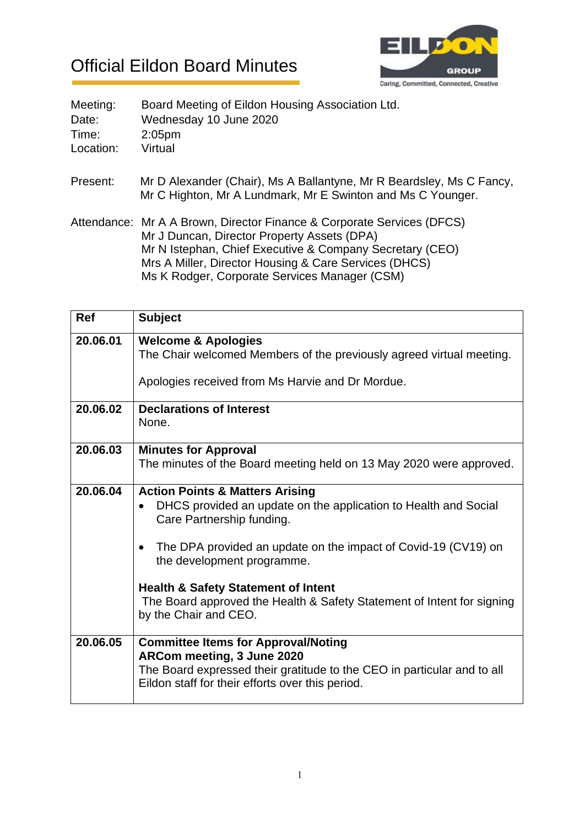## Official Eildon Board Minutes



| Meeting:  | Board Meeting of Eildon Housing Association Ltd.                                                                                    |
|-----------|-------------------------------------------------------------------------------------------------------------------------------------|
| Date:     | Wednesday 10 June 2020                                                                                                              |
| Time:     | 2:05 <sub>pm</sub>                                                                                                                  |
| Location: | Virtual                                                                                                                             |
| Present:  | Mr D Alexander (Chair), Ms A Ballantyne, Mr R Beardsley, Ms C Fancy,<br>Mr C Highton, Mr A Lundmark, Mr E Swinton and Ms C Younger. |
|           | Attendance: Mr A A Brown, Director Finance & Corporate Services (DFCS)<br>Mr J Duncan, Director Property Assets (DPA)               |
|           | Mr N Istephan, Chief Executive & Company Secretary (CEO)<br>Mrs A Miller, Director Housing & Care Services (DHCS)                   |

Ms K Rodger, Corporate Services Manager (CSM)

| <b>Ref</b> | <b>Subject</b>                                                                                                                                                                                          |
|------------|---------------------------------------------------------------------------------------------------------------------------------------------------------------------------------------------------------|
| 20.06.01   | <b>Welcome &amp; Apologies</b><br>The Chair welcomed Members of the previously agreed virtual meeting.<br>Apologies received from Ms Harvie and Dr Mordue.                                              |
| 20.06.02   | <b>Declarations of Interest</b><br>None.                                                                                                                                                                |
| 20.06.03   | <b>Minutes for Approval</b><br>The minutes of the Board meeting held on 13 May 2020 were approved.                                                                                                      |
| 20.06.04   | <b>Action Points &amp; Matters Arising</b><br>DHCS provided an update on the application to Health and Social<br>Care Partnership funding.                                                              |
|            | The DPA provided an update on the impact of Covid-19 (CV19) on<br>the development programme.                                                                                                            |
|            | <b>Health &amp; Safety Statement of Intent</b><br>The Board approved the Health & Safety Statement of Intent for signing<br>by the Chair and CEO.                                                       |
| 20.06.05   | <b>Committee Items for Approval/Noting</b><br>ARCom meeting, 3 June 2020<br>The Board expressed their gratitude to the CEO in particular and to all<br>Eildon staff for their efforts over this period. |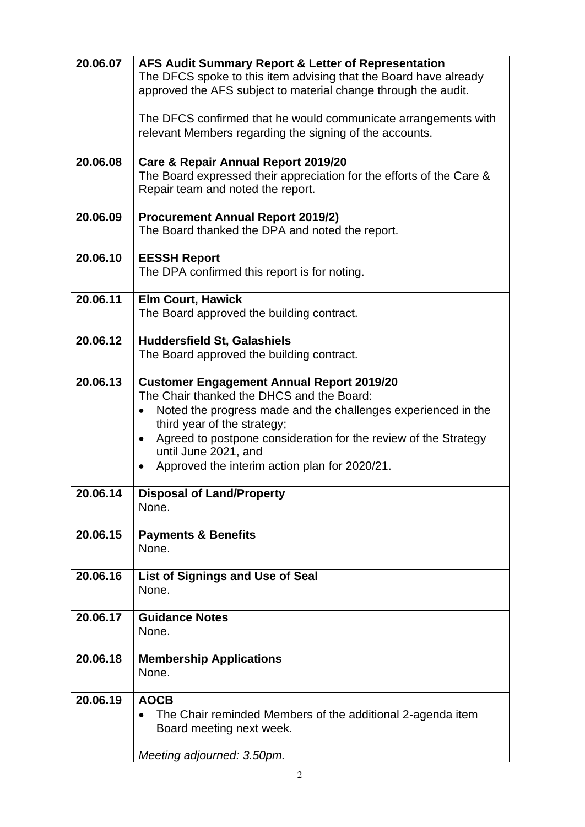| 20.06.07 | AFS Audit Summary Report & Letter of Representation<br>The DFCS spoke to this item advising that the Board have already |
|----------|-------------------------------------------------------------------------------------------------------------------------|
|          | approved the AFS subject to material change through the audit.                                                          |
|          | The DFCS confirmed that he would communicate arrangements with                                                          |
|          | relevant Members regarding the signing of the accounts.                                                                 |
| 20.06.08 | <b>Care &amp; Repair Annual Report 2019/20</b>                                                                          |
|          | The Board expressed their appreciation for the efforts of the Care &<br>Repair team and noted the report.               |
| 20.06.09 | <b>Procurement Annual Report 2019/2)</b><br>The Board thanked the DPA and noted the report.                             |
|          |                                                                                                                         |
| 20.06.10 | <b>EESSH Report</b><br>The DPA confirmed this report is for noting.                                                     |
|          |                                                                                                                         |
| 20.06.11 | <b>Elm Court, Hawick</b><br>The Board approved the building contract.                                                   |
|          |                                                                                                                         |
| 20.06.12 | <b>Huddersfield St, Galashiels</b><br>The Board approved the building contract.                                         |
|          |                                                                                                                         |
| 20.06.13 | <b>Customer Engagement Annual Report 2019/20</b><br>The Chair thanked the DHCS and the Board:                           |
|          | Noted the progress made and the challenges experienced in the                                                           |
|          | third year of the strategy;<br>Agreed to postpone consideration for the review of the Strategy<br>$\bullet$             |
|          | until June 2021, and                                                                                                    |
|          | Approved the interim action plan for 2020/21.<br>$\bullet$                                                              |
| 20.06.14 | <b>Disposal of Land/Property</b>                                                                                        |
|          | None.                                                                                                                   |
| 20.06.15 | <b>Payments &amp; Benefits</b>                                                                                          |
|          | None.                                                                                                                   |
| 20.06.16 | <b>List of Signings and Use of Seal</b>                                                                                 |
|          | None.                                                                                                                   |
| 20.06.17 | <b>Guidance Notes</b><br>None.                                                                                          |
|          |                                                                                                                         |
| 20.06.18 | <b>Membership Applications</b><br>None.                                                                                 |
|          |                                                                                                                         |
| 20.06.19 | <b>AOCB</b><br>The Chair reminded Members of the additional 2-agenda item                                               |
|          | Board meeting next week.                                                                                                |
|          | Meeting adjourned: 3.50pm.                                                                                              |